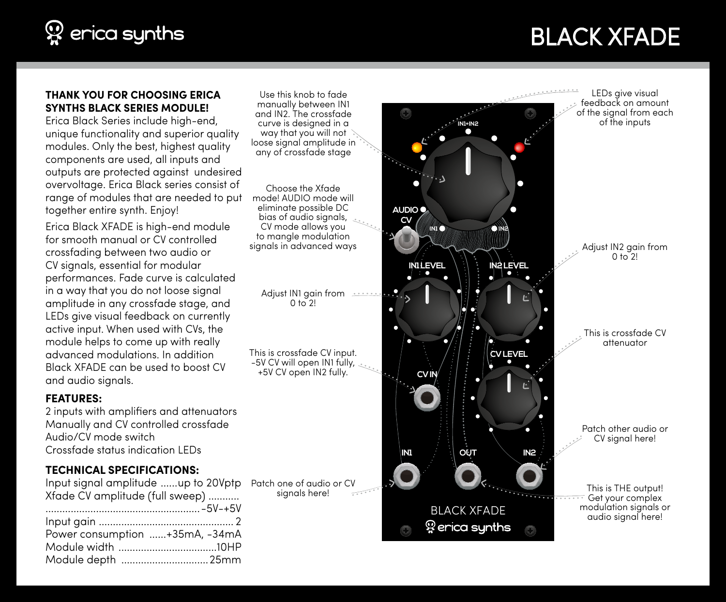# $\mathcal{D}$  erica synths

# BLACK XFADE

#### **THANK YOU FOR CHOOSING ERICA SYNTHS BLACK SERIES MODULE!**

Erica Black Series include high-end, unique functionality and superior quality modules. Only the best, highest quality components are used, all inputs and outputs are protected against undesired overvoltage. Erica Black series consist of range of modules that are needed to put together entire synth. Enjoy!

Erica Black XFADE is high-end module for smooth manual or CV controlled crossfading between two audio or CV signals, essential for modular performances. Fade curve is calculated in a way that you do not loose signal amplitude in any crossfade stage, and LEDs give visual feedback on currently active input. When used with CVs, the module helps to come up with really advanced modulations. In addition Black XFADE can be used to boost CV and audio signals.

#### **FEATURES:**

2 inputs with amplifiers and attenuators Manually and CV controlled crossfade Audio/CV mode switch Crossfade status indication LEDs

### **TECHNICAL SPECIFICATIONS:**

| Input signal amplitude up to 20Vptp |  |
|-------------------------------------|--|
| Xfade CV amplitude (full sweep)     |  |
|                                     |  |
|                                     |  |
| Power consumption +35mA, -34mA      |  |
|                                     |  |
| Module depth 25mm                   |  |

Use this knob to fade manually between IN1 and IN2. The crossfade curve is designed in a way that you will not loose signal amplitude in any of crossfade stage

Choose the Xfade mode! AUDIO mode will eliminate possible DC bias of audio signals, CV mode allows you to mangle modulation

Adjust IN1 gain from  $0 \frac{1}{2}$ 

This is crossfade CV input. -5V CV will open IN1 fully, +5V CV open IN2 fully.

Patch one of audio or CV sianals here!